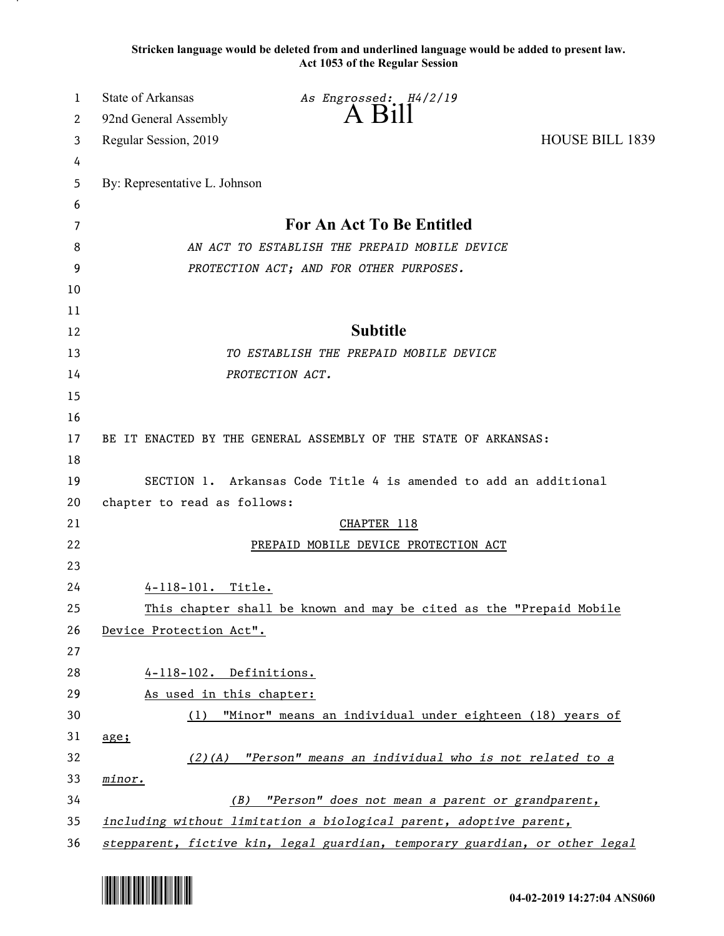**Stricken language would be deleted from and underlined language would be added to present law. Act 1053 of the Regular Session**

| 1        | <b>State of Arkansas</b>                                                    | As Engrossed: H4/2/19                                               |                        |  |
|----------|-----------------------------------------------------------------------------|---------------------------------------------------------------------|------------------------|--|
| 2        | 92nd General Assembly                                                       | $A$ $B111$                                                          |                        |  |
| 3        | Regular Session, 2019                                                       |                                                                     | <b>HOUSE BILL 1839</b> |  |
| 4        |                                                                             |                                                                     |                        |  |
| 5        | By: Representative L. Johnson                                               |                                                                     |                        |  |
| 6        |                                                                             |                                                                     |                        |  |
| 7        |                                                                             | For An Act To Be Entitled                                           |                        |  |
| 8        | AN ACT TO ESTABLISH THE PREPAID MOBILE DEVICE                               |                                                                     |                        |  |
| 9        | PROTECTION ACT; AND FOR OTHER PURPOSES.                                     |                                                                     |                        |  |
| 10       |                                                                             |                                                                     |                        |  |
| 11       |                                                                             |                                                                     |                        |  |
| 12       |                                                                             | <b>Subtitle</b>                                                     |                        |  |
| 13       |                                                                             | TO ESTABLISH THE PREPAID MOBILE DEVICE                              |                        |  |
| 14       |                                                                             | PROTECTION ACT.                                                     |                        |  |
| 15       |                                                                             |                                                                     |                        |  |
| 16       |                                                                             |                                                                     |                        |  |
| 17       |                                                                             | BE IT ENACTED BY THE GENERAL ASSEMBLY OF THE STATE OF ARKANSAS:     |                        |  |
| 18       |                                                                             |                                                                     |                        |  |
| 19       | SECTION 1. Arkansas Code Title 4 is amended to add an additional            |                                                                     |                        |  |
| 20<br>21 | chapter to read as follows:                                                 | CHAPTER 118                                                         |                        |  |
| 22       |                                                                             | PREPAID MOBILE DEVICE PROTECTION ACT                                |                        |  |
| 23       |                                                                             |                                                                     |                        |  |
| 24       | 4-118-101. Title.                                                           |                                                                     |                        |  |
| 25       |                                                                             | This chapter shall be known and may be cited as the "Prepaid Mobile |                        |  |
| 26       | Device Protection Act".                                                     |                                                                     |                        |  |
| 27       |                                                                             |                                                                     |                        |  |
| 28       | 4-118-102. Definitions.                                                     |                                                                     |                        |  |
| 29       | As used in this chapter:                                                    |                                                                     |                        |  |
| 30       | (1)                                                                         | "Minor" means an individual under eighteen (18) years of            |                        |  |
| 31       | $\frac{age}{1}$                                                             |                                                                     |                        |  |
| 32       |                                                                             | $(2)(A)$ "Person" means an individual who is not related to a       |                        |  |
| 33       | minor.                                                                      |                                                                     |                        |  |
| 34       |                                                                             | (B) "Person" does not mean a parent or grandparent,                 |                        |  |
| 35       | including without limitation a biological parent, adoptive parent,          |                                                                     |                        |  |
| 36       | stepparent, fictive kin, legal guardian, temporary guardian, or other legal |                                                                     |                        |  |